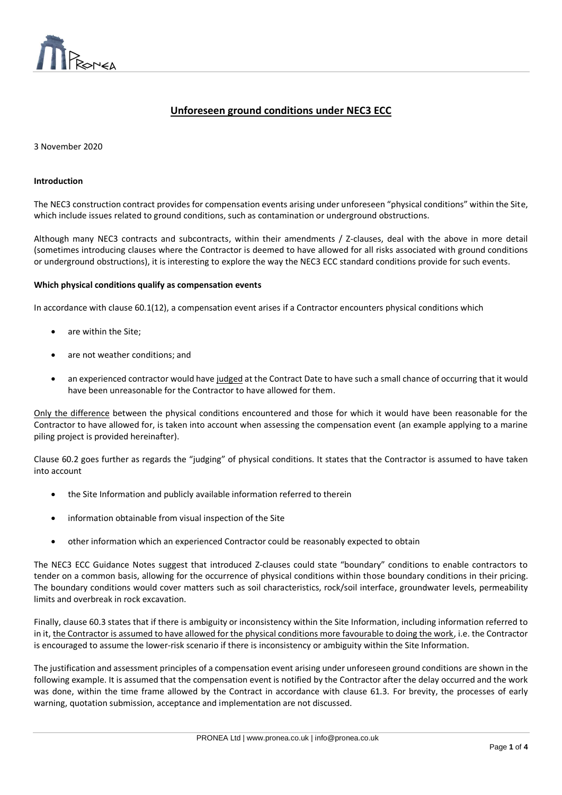

# **Unforeseen ground conditions under NEC3 ECC**

 $\overline{a}$ 

3 November 2020

# **Introduction**

The NEC3 construction contract provides for compensation events arising under unforeseen "physical conditions" within the Site, which include issues related to ground conditions, such as contamination or underground obstructions.

Although many NEC3 contracts and subcontracts, within their amendments / Z-clauses, deal with the above in more detail (sometimes introducing clauses where the Contractor is deemed to have allowed for all risks associated with ground conditions or underground obstructions), it is interesting to explore the way the NEC3 ECC standard conditions provide for such events.

### **Which physical conditions qualify as compensation events**

In accordance with clause 60.1(12), a compensation event arises if a Contractor encounters physical conditions which

- are within the Site;
- are not weather conditions; and
- an experienced contractor would have judged at the Contract Date to have such a small chance of occurring that it would have been unreasonable for the Contractor to have allowed for them.

Only the difference between the physical conditions encountered and those for which it would have been reasonable for the Contractor to have allowed for, is taken into account when assessing the compensation event (an example applying to a marine piling project is provided hereinafter).

Clause 60.2 goes further as regards the "judging" of physical conditions. It states that the Contractor is assumed to have taken into account

- the Site Information and publicly available information referred to therein
- information obtainable from visual inspection of the Site
- other information which an experienced Contractor could be reasonably expected to obtain

The NEC3 ECC Guidance Notes suggest that introduced Z-clauses could state "boundary" conditions to enable contractors to tender on a common basis, allowing for the occurrence of physical conditions within those boundary conditions in their pricing. The boundary conditions would cover matters such as soil characteristics, rock/soil interface, groundwater levels, permeability limits and overbreak in rock excavation.

Finally, clause 60.3 states that if there is ambiguity or inconsistency within the Site Information, including information referred to in it, the Contractor is assumed to have allowed for the physical conditions more favourable to doing the work, i.e. the Contractor is encouraged to assume the lower-risk scenario if there is inconsistency or ambiguity within the Site Information.

The justification and assessment principles of a compensation event arising under unforeseen ground conditions are shown in the following example. It is assumed that the compensation event is notified by the Contractor after the delay occurred and the work was done, within the time frame allowed by the Contract in accordance with clause 61.3. For brevity, the processes of early warning, quotation submission, acceptance and implementation are not discussed.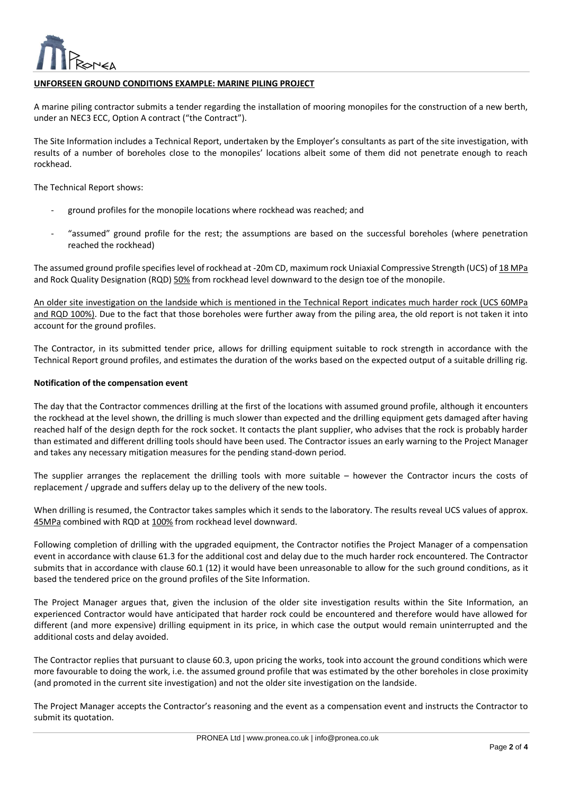

# **UNFORSEEN GROUND CONDITIONS EXAMPLE: MARINE PILING PROJECT**

A marine piling contractor submits a tender regarding the installation of mooring monopiles for the construction of a new berth, under an NEC3 ECC, Option A contract ("the Contract").

 $\overline{a}$ 

The Site Information includes a Technical Report, undertaken by the Employer's consultants as part of the site investigation, with results of a number of boreholes close to the monopiles' locations albeit some of them did not penetrate enough to reach rockhead.

The Technical Report shows:

- ground profiles for the monopile locations where rockhead was reached; and
- "assumed" ground profile for the rest; the assumptions are based on the successful boreholes (where penetration reached the rockhead)

The assumed ground profile specifies level of rockhead at -20m CD, maximum rock Uniaxial Compressive Strength (UCS) of 18 MPa and Rock Quality Designation (RQD) 50% from rockhead level downward to the design toe of the monopile.

An older site investigation on the landside which is mentioned in the Technical Report indicates much harder rock (UCS 60MPa and RQD 100%). Due to the fact that those boreholes were further away from the piling area, the old report is not taken it into account for the ground profiles.

The Contractor, in its submitted tender price, allows for drilling equipment suitable to rock strength in accordance with the Technical Report ground profiles, and estimates the duration of the works based on the expected output of a suitable drilling rig.

### **Notification of the compensation event**

The day that the Contractor commences drilling at the first of the locations with assumed ground profile, although it encounters the rockhead at the level shown, the drilling is much slower than expected and the drilling equipment gets damaged after having reached half of the design depth for the rock socket. It contacts the plant supplier, who advises that the rock is probably harder than estimated and different drilling tools should have been used. The Contractor issues an early warning to the Project Manager and takes any necessary mitigation measures for the pending stand-down period.

The supplier arranges the replacement the drilling tools with more suitable – however the Contractor incurs the costs of replacement / upgrade and suffers delay up to the delivery of the new tools.

When drilling is resumed, the Contractor takes samples which it sends to the laboratory. The results reveal UCS values of approx. 45MPa combined with RQD at 100% from rockhead level downward.

Following completion of drilling with the upgraded equipment, the Contractor notifies the Project Manager of a compensation event in accordance with clause 61.3 for the additional cost and delay due to the much harder rock encountered. The Contractor submits that in accordance with clause 60.1 (12) it would have been unreasonable to allow for the such ground conditions, as it based the tendered price on the ground profiles of the Site Information.

The Project Manager argues that, given the inclusion of the older site investigation results within the Site Information, an experienced Contractor would have anticipated that harder rock could be encountered and therefore would have allowed for different (and more expensive) drilling equipment in its price, in which case the output would remain uninterrupted and the additional costs and delay avoided.

The Contractor replies that pursuant to clause 60.3, upon pricing the works, took into account the ground conditions which were more favourable to doing the work, i.e. the assumed ground profile that was estimated by the other boreholes in close proximity (and promoted in the current site investigation) and not the older site investigation on the landside.

The Project Manager accepts the Contractor's reasoning and the event as a compensation event and instructs the Contractor to submit its quotation.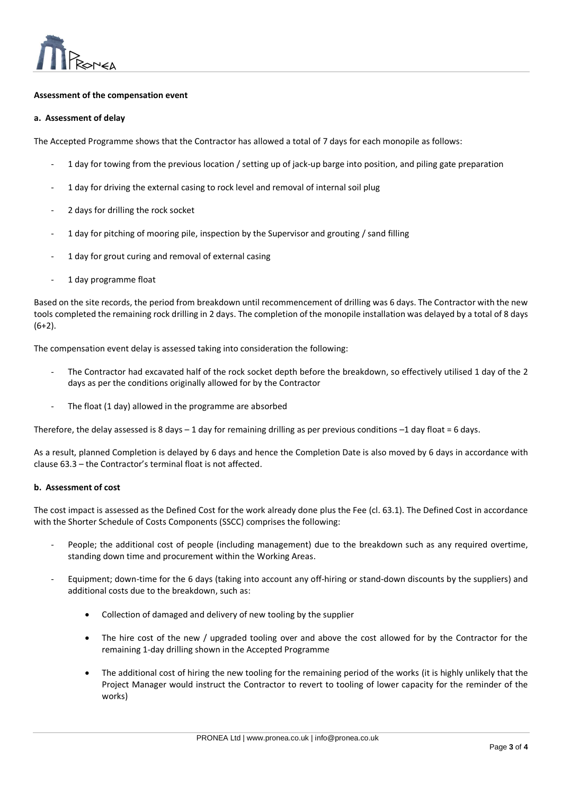## **Assessment of the compensation event**

#### **a. Assessment of delay**

The Accepted Programme shows that the Contractor has allowed a total of 7 days for each monopile as follows:

 $\overline{a}$ 

- 1 day for towing from the previous location / setting up of jack-up barge into position, and piling gate preparation
- 1 day for driving the external casing to rock level and removal of internal soil plug
- 2 days for drilling the rock socket
- 1 day for pitching of mooring pile, inspection by the Supervisor and grouting / sand filling
- 1 day for grout curing and removal of external casing
- 1 day programme float

Based on the site records, the period from breakdown until recommencement of drilling was 6 days. The Contractor with the new tools completed the remaining rock drilling in 2 days. The completion of the monopile installation was delayed by a total of 8 days (6+2).

The compensation event delay is assessed taking into consideration the following:

- The Contractor had excavated half of the rock socket depth before the breakdown, so effectively utilised 1 day of the 2 days as per the conditions originally allowed for by the Contractor
- The float (1 day) allowed in the programme are absorbed

Therefore, the delay assessed is 8 days  $-1$  day for remaining drilling as per previous conditions  $-1$  day float = 6 days.

As a result, planned Completion is delayed by 6 days and hence the Completion Date is also moved by 6 days in accordance with clause 63.3 – the Contractor's terminal float is not affected.

#### **b. Assessment of cost**

The cost impact is assessed as the Defined Cost for the work already done plus the Fee (cl. 63.1). The Defined Cost in accordance with the Shorter Schedule of Costs Components (SSCC) comprises the following:

- People; the additional cost of people (including management) due to the breakdown such as any required overtime, standing down time and procurement within the Working Areas.
- Equipment; down-time for the 6 days (taking into account any off-hiring or stand-down discounts by the suppliers) and additional costs due to the breakdown, such as:
	- Collection of damaged and delivery of new tooling by the supplier
	- The hire cost of the new / upgraded tooling over and above the cost allowed for by the Contractor for the remaining 1-day drilling shown in the Accepted Programme
	- The additional cost of hiring the new tooling for the remaining period of the works (it is highly unlikely that the Project Manager would instruct the Contractor to revert to tooling of lower capacity for the reminder of the works)